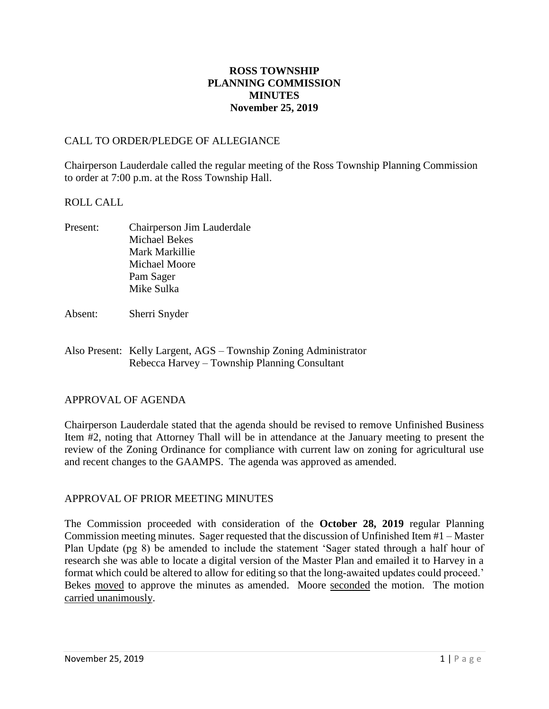## **ROSS TOWNSHIP PLANNING COMMISSION MINUTES November 25, 2019**

## CALL TO ORDER/PLEDGE OF ALLEGIANCE

Chairperson Lauderdale called the regular meeting of the Ross Township Planning Commission to order at 7:00 p.m. at the Ross Township Hall.

## ROLL CALL

- Present: Chairperson Jim Lauderdale Michael Bekes Mark Markillie Michael Moore Pam Sager Mike Sulka
- Absent: Sherri Snyder
- Also Present: Kelly Largent, AGS Township Zoning Administrator Rebecca Harvey – Township Planning Consultant

## APPROVAL OF AGENDA

Chairperson Lauderdale stated that the agenda should be revised to remove Unfinished Business Item #2, noting that Attorney Thall will be in attendance at the January meeting to present the review of the Zoning Ordinance for compliance with current law on zoning for agricultural use and recent changes to the GAAMPS. The agenda was approved as amended.

## APPROVAL OF PRIOR MEETING MINUTES

The Commission proceeded with consideration of the **October 28, 2019** regular Planning Commission meeting minutes. Sager requested that the discussion of Unfinished Item #1 – Master Plan Update (pg 8) be amended to include the statement 'Sager stated through a half hour of research she was able to locate a digital version of the Master Plan and emailed it to Harvey in a format which could be altered to allow for editing so that the long-awaited updates could proceed.' Bekes moved to approve the minutes as amended. Moore seconded the motion. The motion carried unanimously.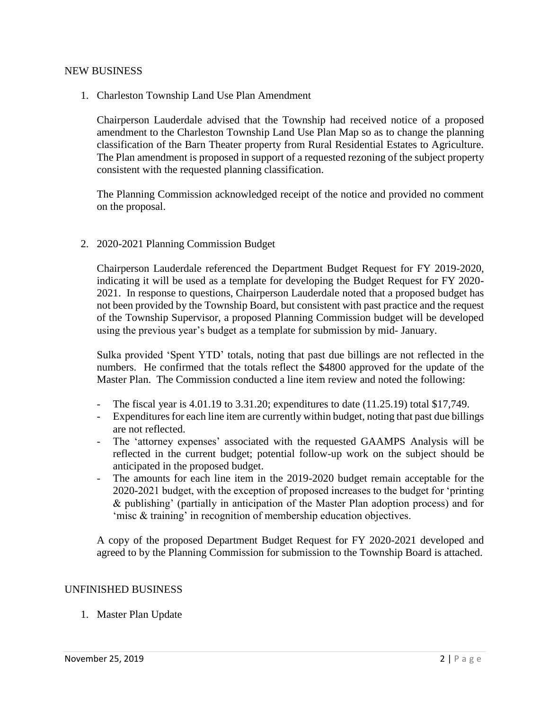#### NEW BUSINESS

1. Charleston Township Land Use Plan Amendment

Chairperson Lauderdale advised that the Township had received notice of a proposed amendment to the Charleston Township Land Use Plan Map so as to change the planning classification of the Barn Theater property from Rural Residential Estates to Agriculture. The Plan amendment is proposed in support of a requested rezoning of the subject property consistent with the requested planning classification.

The Planning Commission acknowledged receipt of the notice and provided no comment on the proposal.

2. 2020-2021 Planning Commission Budget

Chairperson Lauderdale referenced the Department Budget Request for FY 2019-2020, indicating it will be used as a template for developing the Budget Request for FY 2020- 2021. In response to questions, Chairperson Lauderdale noted that a proposed budget has not been provided by the Township Board, but consistent with past practice and the request of the Township Supervisor, a proposed Planning Commission budget will be developed using the previous year's budget as a template for submission by mid- January.

Sulka provided 'Spent YTD' totals, noting that past due billings are not reflected in the numbers. He confirmed that the totals reflect the \$4800 approved for the update of the Master Plan. The Commission conducted a line item review and noted the following:

- The fiscal year is  $4.01.19$  to  $3.31.20$ ; expenditures to date  $(11.25.19)$  total \$17,749.
- Expenditures for each line item are currently within budget, noting that past due billings are not reflected.
- The 'attorney expenses' associated with the requested GAAMPS Analysis will be reflected in the current budget; potential follow-up work on the subject should be anticipated in the proposed budget.
- The amounts for each line item in the 2019-2020 budget remain acceptable for the 2020-2021 budget, with the exception of proposed increases to the budget for 'printing & publishing' (partially in anticipation of the Master Plan adoption process) and for 'misc & training' in recognition of membership education objectives.

A copy of the proposed Department Budget Request for FY 2020-2021 developed and agreed to by the Planning Commission for submission to the Township Board is attached.

#### UNFINISHED BUSINESS

1. Master Plan Update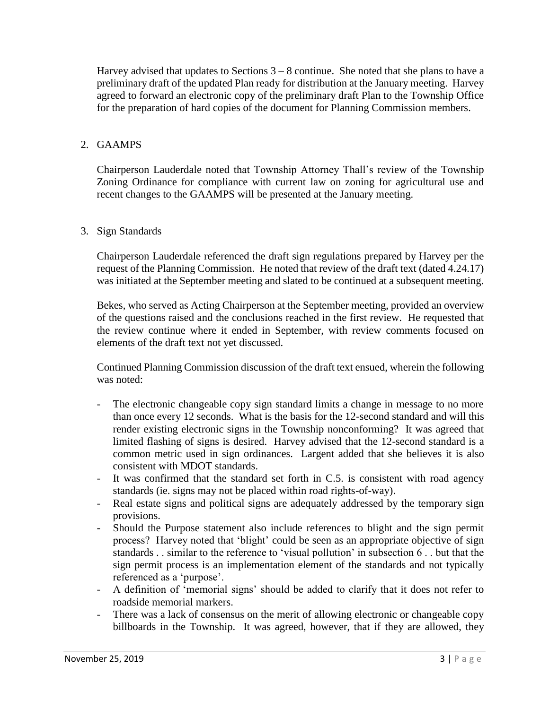Harvey advised that updates to Sections  $3 - 8$  continue. She noted that she plans to have a preliminary draft of the updated Plan ready for distribution at the January meeting. Harvey agreed to forward an electronic copy of the preliminary draft Plan to the Township Office for the preparation of hard copies of the document for Planning Commission members.

## 2. GAAMPS

Chairperson Lauderdale noted that Township Attorney Thall's review of the Township Zoning Ordinance for compliance with current law on zoning for agricultural use and recent changes to the GAAMPS will be presented at the January meeting.

## 3. Sign Standards

Chairperson Lauderdale referenced the draft sign regulations prepared by Harvey per the request of the Planning Commission. He noted that review of the draft text (dated 4.24.17) was initiated at the September meeting and slated to be continued at a subsequent meeting.

Bekes, who served as Acting Chairperson at the September meeting, provided an overview of the questions raised and the conclusions reached in the first review. He requested that the review continue where it ended in September, with review comments focused on elements of the draft text not yet discussed.

Continued Planning Commission discussion of the draft text ensued, wherein the following was noted:

- The electronic changeable copy sign standard limits a change in message to no more than once every 12 seconds. What is the basis for the 12-second standard and will this render existing electronic signs in the Township nonconforming? It was agreed that limited flashing of signs is desired. Harvey advised that the 12-second standard is a common metric used in sign ordinances. Largent added that she believes it is also consistent with MDOT standards.
- It was confirmed that the standard set forth in C.5. is consistent with road agency standards (ie. signs may not be placed within road rights-of-way).
- Real estate signs and political signs are adequately addressed by the temporary sign provisions.
- Should the Purpose statement also include references to blight and the sign permit process? Harvey noted that 'blight' could be seen as an appropriate objective of sign standards . . similar to the reference to 'visual pollution' in subsection 6 . . but that the sign permit process is an implementation element of the standards and not typically referenced as a 'purpose'.
- A definition of 'memorial signs' should be added to clarify that it does not refer to roadside memorial markers.
- There was a lack of consensus on the merit of allowing electronic or changeable copy billboards in the Township. It was agreed, however, that if they are allowed, they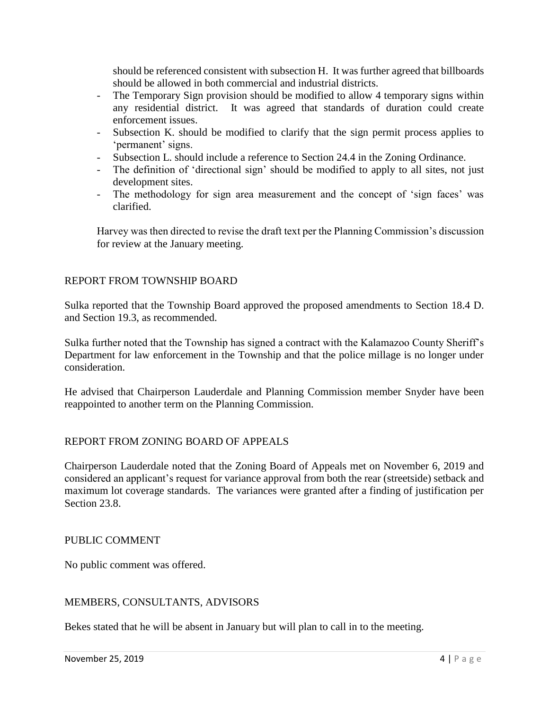should be referenced consistent with subsection H. It was further agreed that billboards should be allowed in both commercial and industrial districts.

- The Temporary Sign provision should be modified to allow 4 temporary signs within any residential district. It was agreed that standards of duration could create enforcement issues.
- Subsection K. should be modified to clarify that the sign permit process applies to 'permanent' signs.
- Subsection L. should include a reference to Section 24.4 in the Zoning Ordinance.
- The definition of 'directional sign' should be modified to apply to all sites, not just development sites.
- The methodology for sign area measurement and the concept of 'sign faces' was clarified.

Harvey was then directed to revise the draft text per the Planning Commission's discussion for review at the January meeting.

# REPORT FROM TOWNSHIP BOARD

Sulka reported that the Township Board approved the proposed amendments to Section 18.4 D. and Section 19.3, as recommended.

Sulka further noted that the Township has signed a contract with the Kalamazoo County Sheriff's Department for law enforcement in the Township and that the police millage is no longer under consideration.

He advised that Chairperson Lauderdale and Planning Commission member Snyder have been reappointed to another term on the Planning Commission.

## REPORT FROM ZONING BOARD OF APPEALS

Chairperson Lauderdale noted that the Zoning Board of Appeals met on November 6, 2019 and considered an applicant's request for variance approval from both the rear (streetside) setback and maximum lot coverage standards. The variances were granted after a finding of justification per Section 23.8.

## PUBLIC COMMENT

No public comment was offered.

## MEMBERS, CONSULTANTS, ADVISORS

Bekes stated that he will be absent in January but will plan to call in to the meeting.